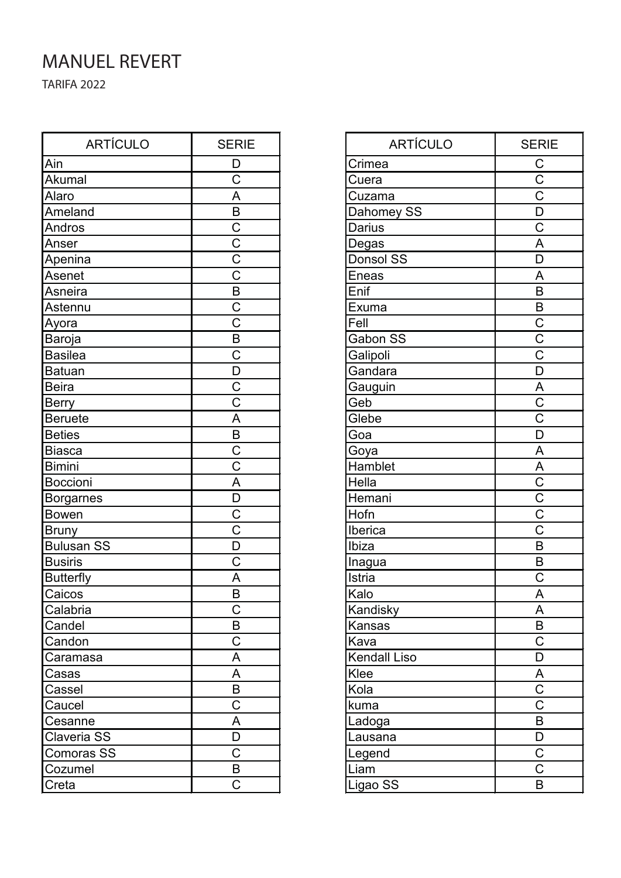## MANUEL REVERT

TARIFA 2022

| <b>ARTÍCULO</b>   | <b>SERIE</b>                                            |
|-------------------|---------------------------------------------------------|
| Ain               |                                                         |
| Akumal            | $rac{D}{C}$                                             |
| Alaro             |                                                         |
| Ameland           |                                                         |
| Andros            |                                                         |
| Anser             |                                                         |
| Apenina           |                                                         |
| Asenet            |                                                         |
| Asneira           |                                                         |
| Astennu           |                                                         |
| <u>Ayora</u>      |                                                         |
| Baroja            |                                                         |
| Basilea           |                                                         |
| <b>Batuan</b>     |                                                         |
| Beira             |                                                         |
| <b>Berry</b>      |                                                         |
| <b>Beruete</b>    |                                                         |
| Beties            |                                                         |
| <b>Biasca</b>     | <u> B C C C C B C C B C D C C A B C C A D C C D C A</u> |
| <b>Bimini</b>     |                                                         |
| Boccioni          |                                                         |
| <b>Borgarnes</b>  |                                                         |
| <b>Bowen</b>      |                                                         |
| <b>Bruny</b>      |                                                         |
| <b>Bulusan SS</b> |                                                         |
| <b>Busiris</b>    |                                                         |
| <b>Butterfly</b>  |                                                         |
| Caicos            | $\overline{\mathsf{B}}$                                 |
| Calabria          | C                                                       |
| Candel            | $\overline{\mathsf{B}}$                                 |
| Candon            | $\overline{\text{C}}$                                   |
| Caramasa          | $\overline{A}$                                          |
| Casas             | $\overline{\mathsf{A}}$                                 |
| Cassel            | $\overline{\mathsf{B}}$                                 |
| Caucel            | $\overline{\text{C}}$                                   |
| Cesanne           | $\overline{\mathsf{A}}$                                 |
| Claveria SS       | $\overline{\mathsf{D}}$                                 |
| <b>Comoras SS</b> | $\overline{\text{C}}$                                   |
| Cozumel           | $\overline{\mathsf{B}}$                                 |
| Creta             | $\overline{\overline{\text{C}}}$                        |

| <b>ARTÍCULO</b>     | <b>SERIE</b>                                                                              |
|---------------------|-------------------------------------------------------------------------------------------|
| Crimea              |                                                                                           |
| Cuera               |                                                                                           |
| Cuzama              |                                                                                           |
| Dahomey SS          | $C$ $C$ $D$ $C$ $A$ $D$                                                                   |
| Darius              |                                                                                           |
| Degas               |                                                                                           |
| <b>Donsol SS</b>    |                                                                                           |
| $E$ neas            | $\overline{\mathsf{A}}$                                                                   |
| Enif                | $\overline{\mathsf{B}}$                                                                   |
| Exuma               |                                                                                           |
| Fell                |                                                                                           |
| Gabon SS            |                                                                                           |
| Galipoli            |                                                                                           |
| Gandara             |                                                                                           |
| Gauguin             |                                                                                           |
| Geb                 |                                                                                           |
| Glebe               | <u>BCCCDACCDACDACCCCCA</u>                                                                |
| Goa                 |                                                                                           |
| Goya                |                                                                                           |
| Hamblet             |                                                                                           |
| Hella               |                                                                                           |
| Hemani              |                                                                                           |
| Hofn                |                                                                                           |
| Iberica             |                                                                                           |
| Ibiza               |                                                                                           |
| Inagua              |                                                                                           |
| Istria              |                                                                                           |
| Kalo                |                                                                                           |
| Kandisky            | A                                                                                         |
| Kansas              | $\overline{\mathsf{B}}$                                                                   |
| Kava                | $\overline{\text{C}}$                                                                     |
| <b>Kendall Liso</b> |                                                                                           |
| Klee                |                                                                                           |
| Kola                |                                                                                           |
| kuma                | $\overline{D}$ $\overline{A}$ $\overline{C}$ $\overline{C}$ $\overline{B}$ $\overline{B}$ |
| Ladoga              |                                                                                           |
| Lausana             | $\frac{\overline{D}}{C}$                                                                  |
| Legend              |                                                                                           |
| Liam                |                                                                                           |
| Ligao SS            | $\overline{\mathsf{B}}$                                                                   |